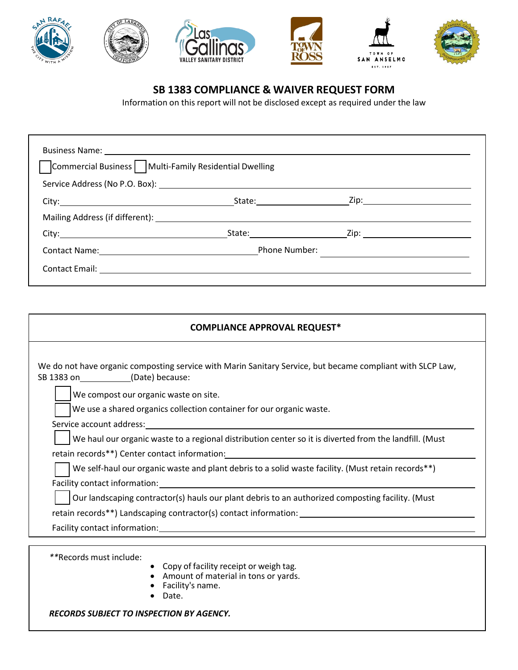

## **SB 1383 COMPLIANCE & WAIVER REQUEST FORM**

Information on this report will not be disclosed except as required under the law

| Commercial Business   Multi-Family Residential Dwelling                                                                                                                                                                              |  |  |  |
|--------------------------------------------------------------------------------------------------------------------------------------------------------------------------------------------------------------------------------------|--|--|--|
|                                                                                                                                                                                                                                      |  |  |  |
|                                                                                                                                                                                                                                      |  |  |  |
|                                                                                                                                                                                                                                      |  |  |  |
| City: <u>City: City: City: City: City: City: City: City: City: City: City: City: City: City: City: City: City: City: City: City: City: City: City: City: City: City: City: City: City: City: City: City: City: City: City: City:</u> |  |  |  |
|                                                                                                                                                                                                                                      |  |  |  |
| Contact Email: <u>___________________________</u>                                                                                                                                                                                    |  |  |  |

| <b>COMPLIANCE APPROVAL REQUEST*</b>                                                                                                                                                                                           |  |  |  |  |
|-------------------------------------------------------------------------------------------------------------------------------------------------------------------------------------------------------------------------------|--|--|--|--|
| We do not have organic composting service with Marin Sanitary Service, but became compliant with SLCP Law,<br>SB 1383 on (Date) because:                                                                                      |  |  |  |  |
| We compost our organic waste on site.                                                                                                                                                                                         |  |  |  |  |
| We use a shared organics collection container for our organic waste.                                                                                                                                                          |  |  |  |  |
|                                                                                                                                                                                                                               |  |  |  |  |
| We haul our organic waste to a regional distribution center so it is diverted from the landfill. (Must                                                                                                                        |  |  |  |  |
|                                                                                                                                                                                                                               |  |  |  |  |
| We self-haul our organic waste and plant debris to a solid waste facility. (Must retain records**)                                                                                                                            |  |  |  |  |
|                                                                                                                                                                                                                               |  |  |  |  |
| Our landscaping contractor(s) hauls our plant debris to an authorized composting facility. (Must                                                                                                                              |  |  |  |  |
| retain records**) Landscaping contractor(s) contact information: __________________________________                                                                                                                           |  |  |  |  |
| Facility contact information: example and a series of the series of the series of the series of the series of the series of the series of the series of the series of the series of the series of the series of the series of |  |  |  |  |
|                                                                                                                                                                                                                               |  |  |  |  |
| **Records must include:<br>• Copy of facility receipt or weigh tag.<br>Amount of material in tons or yards.<br>Facility's name.                                                                                               |  |  |  |  |

• Date.

*RECORDS SUBJECT TO INSPECTION BY AGENCY.*